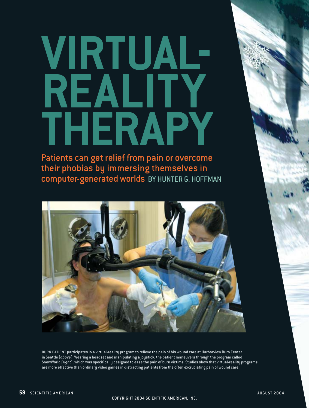# **VIRTUAL-REALITY THERAPY**

Patients can get relief from pain or overcome their phobias by immersing themselves in computer-generated worlds BY HUNTER G. HOFFMAN



BURN PATIENT participates in a virtual-reality program to relieve the pain of his wound care at Harborview Burn Center in Seattle (*above*). Wearing a headset and manipulating a joystick, the patient maneuvers through the program called SnowWorld (*right*), which was specifically designed to ease the pain of burn victims. Studies show that virtual-reality programs are more effective than ordinary video games in distracting patients from the often excruciating pain of wound care.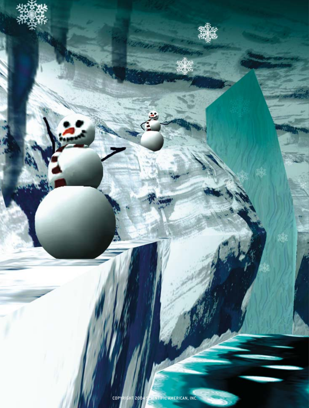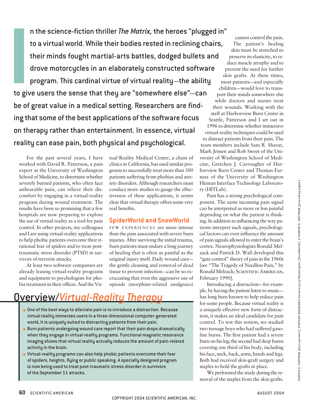**I** n the science-fiction thriller *The Matrix,* the heroes "plugged in" to a virtual world. While their bodies rested in reclining chairs, their minds fought martial-arts battles, dodged bullets and drove motorcycles in an elaborately constructed software program. This cardinal virtue of virtual reality—the ability to give users the sense that they are "somewhere else"—can be of great value in a medical setting. Researchers are finding that some of the best applications of the software focus on therapy rather than entertainment. In essence, virtual reality can ease pain, both physical and psychological.

For the past several years, I have worked with David R. Patterson, a pain expert at the University of Washington School of Medicine, to determine whether severely burned patients, who often face unbearable pain, can relieve their discomfort by engaging in a virtual-reality program during wound treatment. The results have been so promising that a few hospitals are now preparing to explore the use of virtual reality as a tool for pain control. In other projects, my colleagues and I are using virtual-reality applications to help phobic patients overcome their irrational fear of spiders and to treat posttraumatic stress disorder (PTSD) in survivors of terrorist attacks.

At least two software companies are already leasing virtual-reality programs and equipment to psychologists for phobia treatment in their offices. And the Virtual Reality Medical Center, a chain of clinics in California, has used similar programs to successfully treat more than 300 patients suffering from phobias and anxiety disorders. Although researchers must conduct more studies to gauge the effectiveness of these applications, it seems clear that virtual therapy offers some very real benefits.

### **SpiderWorld and SnowWorld**

FEW EXPERIENCES are more intense than the pain associated with severe burn injuries. After surviving the initial trauma, burn patients must endure a long journey of healing that is often as painful as the original injury itself. Daily wound care the gentle cleaning and removal of dead tissue to prevent infection—can be so excruciating that even the aggressive use of opioids (morphine-related analgesics)

# Overview/*Virtual-Reality Therapy*

- One of the best ways to alleviate pain is to introduce a distraction. Because virtual reality immerses users in a three-dimensional computer-generated world, it is uniquely suited to distracting patients from their pain.
- Burn patients undergoing wound care report that their pain drops dramatically when they engage in virtual-reality programs. Functional magnetic resonance imaging shows that virtual reality actually reduces the amount of pain-related activity in the brain.
- Virtual-reality programs can also help phobic patients overcome their fear of spiders, heights, flying or public speaking. A specially designed program is now being used to treat post-traumatic stress disorder in survivors of the September 11 attacks.

cannot control the pain. The patient's healing skin must be stretched to preserve its elasticity, to reduce muscle atrophy and to prevent the need for further skin grafts. At these times, most patients—and especially children—would love to transport their minds somewhere else while doctors and nurses treat their wounds. Working with the staff at Harborview Burn Center in Seattle, Patterson and I set out in 1996 to determine whether immersive virtual-reality techniques could be used to distract patients from their pain. The team members include Sam R. Sharar, Mark Jensen and Rob Sweet of the University of Washington School of Medicine, Gretchen J. Carrougher of Harborview Burn Center and Thomas Furness of the University of Washington Human Interface Technology Laboratory (HITLab).

Pain has a strong psychological component. The same incoming pain signal can be interpreted as more or less painful depending on what the patient is thinking. In addition to influencing the way patients interpret such signals, psychological factors can even influence the amount of pain signals allowed to enter the brain's cortex. Neurophysiologists Ronald Melzack and Patrick D. Wall developed this "gate control" theory of pain in the 1960s [see "The Tragedy of Needless Pain," by Ronald Melzack; SCIENTIFIC AMERICAN, February 1990].

Introducing a distraction—for example, by having the patient listen to music has long been known to help reduce pain for some people. Because virtual reality is a uniquely effective new form of distraction, it makes an ideal candidate for pain control. To test this notion, we studied two teenage boys who had suffered gasoline burns. The first patient had a severe burn on his leg; the second had deep burns covering one third of his body, including his face, neck, back, arms, hands and legs. Both had received skin-graft surgery and staples to hold the grafts in place.

We performed the study during the removal of the staples from the skin grafts.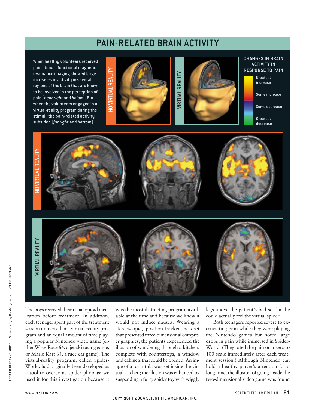## PAIN-RELATED BRAIN ACTIVITY

When healthy volunteers received pain stimuli, functional magnetic resonance imaging showed large increases in activity in several regions of the brain that are known to be involved in the perception of pain (*near right* and *below*). But when the volunteers engaged in a virtual-reality program during the stimuli, the pain-related activity subsided (*far right* and *bottom*).





#### **CHANGES IN BRAIN ACTIVITY IN RESPONSE TO PAIN**

Greatest increase

Some increase

Some decrease

Greatest decrease



The boys received their usual opioid medication before treatment. In addition, each teenager spent part of the treatment session immersed in a virtual-reality program and an equal amount of time playing a popular Nintendo video game (either Wave Race 64, a jet-ski racing game, or Mario Kart 64, a race-car game). The virtual-reality program, called Spider-World, had originally been developed as a tool to overcome spider phobias; we used it for this investigation because it

was the most distracting program available at the time and because we knew it would not induce nausea. Wearing a stereoscopic, position-tracked headset that presented three-dimensional computer graphics, the patients experienced the illusion of wandering through a kitchen, complete with countertops, a window and cabinets that could be opened. An image of a tarantula was set inside the virtual kitchen; the illusion was enhanced by suspending a furry spider toy with wiggly

legs above the patient's bed so that he could actually feel the virtual spider.

Both teenagers reported severe to excruciating pain while they were playing the Nintendo games but noted large drops in pain while immersed in Spider-World. (They rated the pain on a zero to 100 scale immediately after each treatment session.) Although Nintendo can hold a healthy player's attention for a long time, the illusion of going inside the two-dimensional video game was found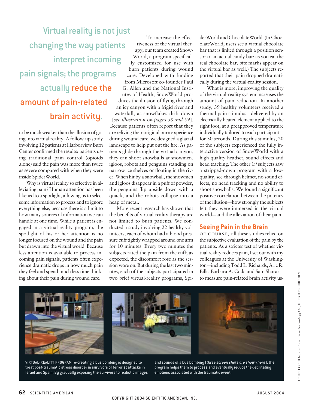Virtual reality is not just changing the way patients interpret incoming pain signals; the programs actually reduce the amount of pain-related brain activity.

to be much weaker than the illusion of going into virtual reality. A follow-up study involving 12 patients at Harborview Burn Center confirmed the results: patients using traditional pain control (opioids alone) said the pain was more than twice as severe compared with when they were inside SpiderWorld.

Why is virtual reality so effective in alleviating pain? Human attention has been likened to a spotlight, allowing us to select some information to process and to ignore everything else, because there is a limit to how many sources of information we can handle at one time. While a patient is engaged in a virtual-reality program, the spotlight of his or her attention is no longer focused on the wound and the pain but drawn into the virtual world. Because less attention is available to process incoming pain signals, patients often experience dramatic drops in how much pain they feel and spend much less time thinking about their pain during wound care.

To increase the effectiveness of the virtual therapy, our team created Snow-World, a program specifically customized for use with burn patients during wound care. Developed with funding from Microsoft co-founder Paul G. Allen and the National Institutes of Health, SnowWorld produces the illusion of flying through an icy canyon with a frigid river and waterfall, as snowflakes drift down [*see illustration on pages 58 and 59*]. Because patients often report that they are reliving their original burn experience during wound care, we designed a glacial landscape to help put out the fire. As patients glide through the virtual canyon, they can shoot snowballs at snowmen, igloos, robots and penguins standing on narrow ice shelves or floating in the river. When hit by a snowball, the snowmen and igloos disappear in a puff of powder, the penguins flip upside down with a quack, and the robots collapse into a heap of metal.

More recent research has shown that the benefits of virtual-reality therapy are not limited to burn patients. We conducted a study involving 22 healthy volunteers, each of whom had a blood pressure cuff tightly wrapped around one arm for 10 minutes. Every two minutes the subjects rated the pain from the cuff; as expected, the discomfort rose as the session wore on. But during the last two minutes, each of the subjects participated in two brief virtual-reality programs, SpiderWorld and ChocolateWorld. (In ChocolateWorld, users see a virtual chocolate bar that is linked through a position sensor to an actual candy bar; as you eat the real chocolate bar, bite marks appear on the virtual bar as well.) The subjects reported that their pain dropped dramatically during the virtual-reality session.

What is more, improving the quality of the virtual-reality system increases the amount of pain reduction. In another study, 39 healthy volunteers received a thermal pain stimulus—delivered by an electrically heated element applied to the right foot, at a preapproved temperature individually tailored to each participant for 30 seconds. During this stimulus, 20 of the subjects experienced the fully interactive version of SnowWorld with a high-quality headset, sound effects and head tracking. The other 19 subjects saw a stripped-down program with a lowquality, see-through helmet, no sound effects, no head tracking and no ability to shoot snowballs. We found a significant positive correlation between the potency of the illusion—how strongly the subjects felt they were immersed in the virtual world—and the alleviation of their pain.

## **Seeing Pain in the Brain**

OF COURSE, all these studies relied on the subjective evaluation of the pain by the patients. As a stricter test of whether virtual reality reduces pain, I set out with my colleagues at the University of Washington—including Todd L. Richards, Aric R. Bills, Barbara A. Coda and Sam Sharar to measure pain-related brain activity us-



VIRTUAL-REALITY PROGRAM re-creating a bus bombing is designed to treat post-traumatic stress disorder in survivors of terrorist attacks in Israel and Spain. By gradually exposing the survivors to realistic images

and sounds of a bus bombing (*three screen shots are shown here*), the program helps them to process and eventually reduce the debilitating emotions associated with the traumatic event.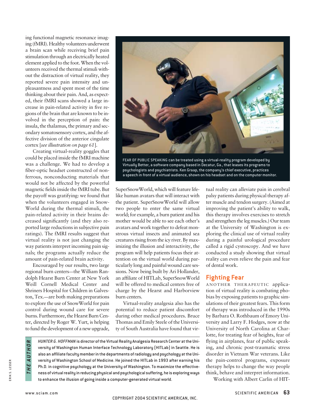ing functional magnetic resonance imaging (fMRI). Healthy volunteers underwent a brain scan while receiving brief pain stimulation through an electrically heated element applied to the foot. When the volunteers received the thermal stimuli without the distraction of virtual reality, they reported severe pain intensity and unpleasantness and spent most of the time thinking about their pain. And, as expected, their fMRI scans showed a large increase in pain-related activity in five regions of the brain that are known to be involved in the perception of pain: the insula, the thalamus, the primary and secondary somatosensory cortex, and the affective division of the anterior cingulate cortex [*see illustration on page 61*].

Creating virtual-reality goggles that could be placed inside the fMRI machine was a challenge. We had to develop a fiber-optic headset constructed of nonferrous, nonconducting materials that would not be affected by the powerful magnetic fields inside the fMRI tube. But the payoff was gratifying: we found that when the volunteers engaged in Snow-World during the thermal stimuli, the pain-related activity in their brains decreased significantly (and they also reported large reductions in subjective pain ratings). The fMRI results suggest that virtual reality is not just changing the way patients interpret incoming pain signals; the programs actually reduce the amount of pain-related brain activity.

Encouraged by our results, two large regional burn centers—the William Randolph Hearst Burn Center at New York Weill Cornell Medical Center and Shriners Hospital for Children in Galveston, Tex.—are both making preparations to explore the use of SnowWorld for pain control during wound care for severe burns. Furthermore, the Hearst Burn Center, directed by Roger W. Yurt, is helping to fund the development of a new upgrade,



FEAR OF PUBLIC SPEAKING can be treated using a virtual-reality program developed by Virtually Better, a software company based in Decatur, Ga., that leases its programs to psychologists and psychiatrists. Ken Graap, the company's chief executive, practices a speech in front of a virtual audience, shown on his headset and on the computer monitor.

SuperSnowWorld, which will feature lifelike human avatars that will interact with the patient. SuperSnowWorld will allow two people to enter the same virtual world; for example, a burn patient and his mother would be able to see each other's avatars and work together to defeat monstrous virtual insects and animated sea creatures rising from the icy river. By maximizing the illusion and interactivity, the program will help patients focus their attention on the virtual world during particularly long and painful wound care sessions. Now being built by Ari Hollander, an affiliate of HITLab, SuperSnowWorld will be offered to medical centers free of charge by the Hearst and Harborview burn centers.

Virtual-reality analgesia also has the potential to reduce patient discomfort during other medical procedures. Bruce Thomas and Emily Steele of the University of South Australia have found that vir-

*HUNTER G. HOFFMAN* is director of the Virtual Reality Analgesia Research Center at the University of Washington Human Interface Technology Laboratory (HITLab) in Seattle. He is also an affiliate faculty member in the departments of radiology and psychology at the University of Washington School of Medicine. He joined the HITLab in 1993 after earning his Ph.D. in cognitive psychology at the University of Washington. To maximize the effectiveness of virtual reality in reducing physical and psychological suffering, he is exploring ways to enhance the illusion of going inside a computer-generated virtual world.

tual reality can alleviate pain in cerebral palsy patients during physical therapy after muscle and tendon surgery. (Aimed at improving the patient's ability to walk, this therapy involves exercises to stretch and strengthen the leg muscles.) Our team at the University of Washington is exploring the clinical use of virtual reality during a painful urological procedure called a rigid cystoscopy. And we have conducted a study showing that virtual reality can even relieve the pain and fear of dental work.

### **Fighting Fear**

ANOTHER THERAPEUTIC application of virtual reality is combating phobias by exposing patients to graphic simulations of their greatest fears. This form of therapy was introduced in the 1990s by Barbara O. Rothbaum of Emory University and Larry F. Hodges, now at the University of North Carolina at Charlotte, for treating fear of heights, fear of flying in airplanes, fear of public speaking, and chronic post-traumatic stress disorder in Vietnam War veterans. Like the pain-control programs, exposure therapy helps to change the way people think, behave and interpret information.

Working with Albert Carlin of HIT-

*THE AUTHOR*

HE AUTHOR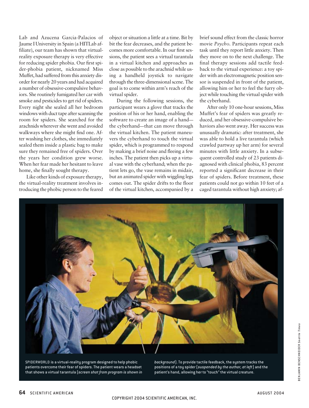Lab and Azucena Garcia-Palacios of Jaume I University in Spain (a HITLab affiliate), our team has shown that virtualreality exposure therapy is very effective for reducing spider phobia. Our first spider-phobia patient, nicknamed Miss Muffet, had suffered from this anxiety disorder for nearly 20 years and had acquired a number of obsessive-compulsive behaviors. She routinely fumigated her car with smoke and pesticides to get rid of spiders. Every night she sealed all her bedroom windows with duct tape after scanning the room for spiders. She searched for the arachnids wherever she went and avoided walkways where she might find one. After washing her clothes, she immediately sealed them inside a plastic bag to make sure they remained free of spiders. Over the years her condition grew worse. When her fear made her hesitant to leave home, she finally sought therapy.

Like other kinds of exposure therapy, the virtual-reality treatment involves introducing the phobic person to the feared object or situation a little at a time. Bit by bit the fear decreases, and the patient becomes more comfortable. In our first sessions, the patient sees a virtual tarantula in a virtual kitchen and approaches as close as possible to the arachnid while using a handheld joystick to navigate through the three-dimensional scene. The goal is to come within arm's reach of the virtual spider.

During the following sessions, the participant wears a glove that tracks the position of his or her hand, enabling the software to create an image of a hand the cyberhand—that can move through the virtual kitchen. The patient maneuvers the cyberhand to touch the virtual spider, which is programmed to respond by making a brief noise and fleeing a few inches. The patient then picks up a virtual vase with the cyberhand; when the patient lets go, the vase remains in midair, but an animated spider with wiggling legs comes out. The spider drifts to the floor of the virtual kitchen, accompanied by a brief sound effect from the classic horror movie *Psycho.* Participants repeat each task until they report little anxiety. Then they move on to the next challenge. The final therapy sessions add tactile feedback to the virtual experience: a toy spider with an electromagnetic position sensor is suspended in front of the patient, allowing him or her to feel the furry object while touching the virtual spider with the cyberhand.

After only 10 one-hour sessions, Miss Muffet's fear of spiders was greatly reduced, and her obsessive-compulsive behaviors also went away. Her success was unusually dramatic: after treatment, she was able to hold a live tarantula (which crawled partway up her arm) for several minutes with little anxiety. In a subsequent controlled study of 23 patients diagnosed with clinical phobia, 83 percent reported a significant decrease in their fear of spiders. Before treatment, these patients could not go within 10 feet of a caged tarantula without high anxiety; af-



SPIDERWORLD is a virtual-reality program designed to help phobic patients overcome their fear of spiders. The patient wears a headset that shows a virtual tarantula (*screen shot from program is shown in* *background*). To provide tactile feedback, the system tracks the positions of a toy spider (*suspended by the author, at left*) and the patient's hand, allowing her to "touch" the virtual creature.